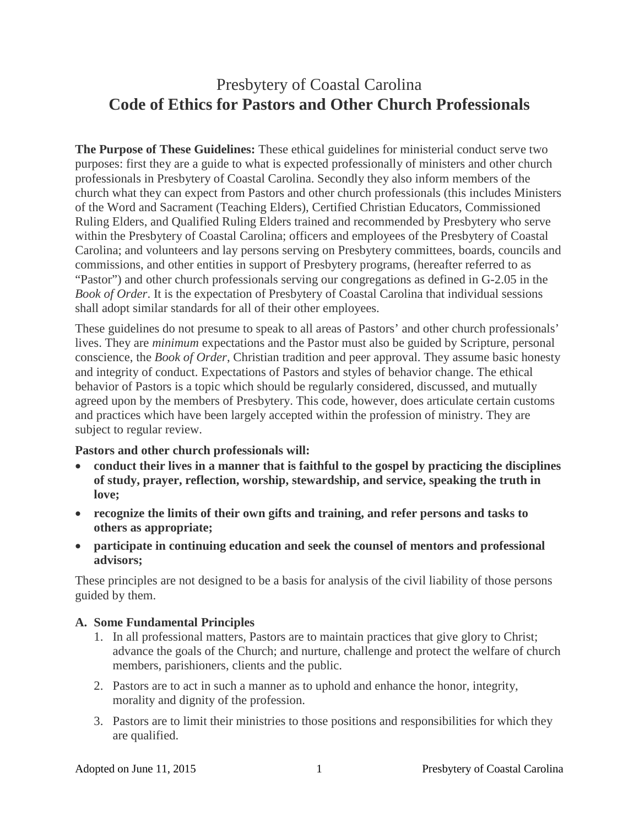# Presbytery of Coastal Carolina **Code of Ethics for Pastors and Other Church Professionals**

**The Purpose of These Guidelines:** These ethical guidelines for ministerial conduct serve two purposes: first they are a guide to what is expected professionally of ministers and other church professionals in Presbytery of Coastal Carolina. Secondly they also inform members of the church what they can expect from Pastors and other church professionals (this includes Ministers of the Word and Sacrament (Teaching Elders), Certified Christian Educators, Commissioned Ruling Elders, and Qualified Ruling Elders trained and recommended by Presbytery who serve within the Presbytery of Coastal Carolina; officers and employees of the Presbytery of Coastal Carolina; and volunteers and lay persons serving on Presbytery committees, boards, councils and commissions, and other entities in support of Presbytery programs, (hereafter referred to as "Pastor") and other church professionals serving our congregations as defined in G-2.05 in the *Book of Order*. It is the expectation of Presbytery of Coastal Carolina that individual sessions shall adopt similar standards for all of their other employees.

These guidelines do not presume to speak to all areas of Pastors' and other church professionals' lives. They are *minimum* expectations and the Pastor must also be guided by Scripture, personal conscience, the *Book of Order*, Christian tradition and peer approval. They assume basic honesty and integrity of conduct. Expectations of Pastors and styles of behavior change. The ethical behavior of Pastors is a topic which should be regularly considered, discussed, and mutually agreed upon by the members of Presbytery. This code, however, does articulate certain customs and practices which have been largely accepted within the profession of ministry. They are subject to regular review.

#### **Pastors and other church professionals will:**

- **conduct their lives in a manner that is faithful to the gospel by practicing the disciplines of study, prayer, reflection, worship, stewardship, and service, speaking the truth in love;**
- **recognize the limits of their own gifts and training, and refer persons and tasks to others as appropriate;**
- **participate in continuing education and seek the counsel of mentors and professional advisors;**

These principles are not designed to be a basis for analysis of the civil liability of those persons guided by them.

### **A. Some Fundamental Principles**

- 1. In all professional matters, Pastors are to maintain practices that give glory to Christ; advance the goals of the Church; and nurture, challenge and protect the welfare of church members, parishioners, clients and the public.
- 2. Pastors are to act in such a manner as to uphold and enhance the honor, integrity, morality and dignity of the profession.
- 3. Pastors are to limit their ministries to those positions and responsibilities for which they are qualified.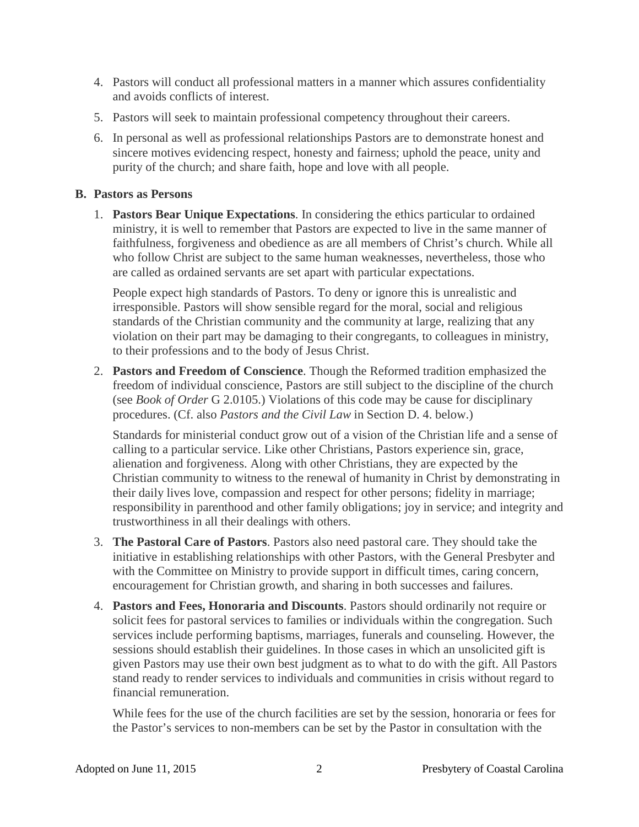- 4. Pastors will conduct all professional matters in a manner which assures confidentiality and avoids conflicts of interest.
- 5. Pastors will seek to maintain professional competency throughout their careers.
- 6. In personal as well as professional relationships Pastors are to demonstrate honest and sincere motives evidencing respect, honesty and fairness; uphold the peace, unity and purity of the church; and share faith, hope and love with all people.

#### **B. Pastors as Persons**

1. **Pastors Bear Unique Expectations**. In considering the ethics particular to ordained ministry, it is well to remember that Pastors are expected to live in the same manner of faithfulness, forgiveness and obedience as are all members of Christ's church. While all who follow Christ are subject to the same human weaknesses, nevertheless, those who are called as ordained servants are set apart with particular expectations.

People expect high standards of Pastors. To deny or ignore this is unrealistic and irresponsible. Pastors will show sensible regard for the moral, social and religious standards of the Christian community and the community at large, realizing that any violation on their part may be damaging to their congregants, to colleagues in ministry, to their professions and to the body of Jesus Christ.

2. **Pastors and Freedom of Conscience**. Though the Reformed tradition emphasized the freedom of individual conscience, Pastors are still subject to the discipline of the church (see *Book of Order* G 2.0105.) Violations of this code may be cause for disciplinary procedures. (Cf. also *Pastors and the Civil Law* in Section D. 4. below.)

Standards for ministerial conduct grow out of a vision of the Christian life and a sense of calling to a particular service. Like other Christians, Pastors experience sin, grace, alienation and forgiveness. Along with other Christians, they are expected by the Christian community to witness to the renewal of humanity in Christ by demonstrating in their daily lives love, compassion and respect for other persons; fidelity in marriage; responsibility in parenthood and other family obligations; joy in service; and integrity and trustworthiness in all their dealings with others.

- 3. **The Pastoral Care of Pastors**. Pastors also need pastoral care. They should take the initiative in establishing relationships with other Pastors, with the General Presbyter and with the Committee on Ministry to provide support in difficult times, caring concern, encouragement for Christian growth, and sharing in both successes and failures.
- 4. **Pastors and Fees, Honoraria and Discounts**. Pastors should ordinarily not require or solicit fees for pastoral services to families or individuals within the congregation. Such services include performing baptisms, marriages, funerals and counseling. However, the sessions should establish their guidelines. In those cases in which an unsolicited gift is given Pastors may use their own best judgment as to what to do with the gift. All Pastors stand ready to render services to individuals and communities in crisis without regard to financial remuneration.

While fees for the use of the church facilities are set by the session, honoraria or fees for the Pastor's services to non-members can be set by the Pastor in consultation with the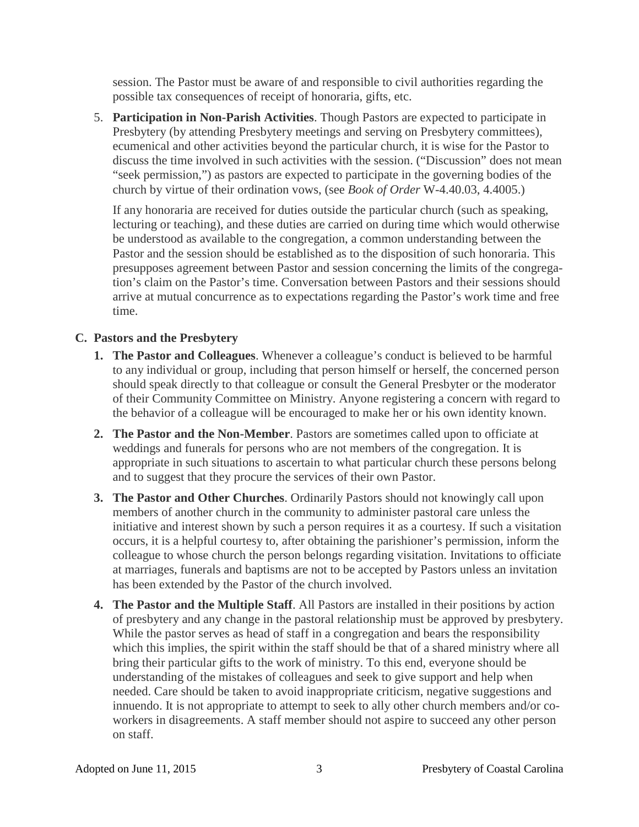session. The Pastor must be aware of and responsible to civil authorities regarding the possible tax consequences of receipt of honoraria, gifts, etc.

5. **Participation in Non-Parish Activities**. Though Pastors are expected to participate in Presbytery (by attending Presbytery meetings and serving on Presbytery committees), ecumenical and other activities beyond the particular church, it is wise for the Pastor to discuss the time involved in such activities with the session. ("Discussion" does not mean "seek permission,") as pastors are expected to participate in the governing bodies of the church by virtue of their ordination vows, (see *Book of Order* W-4.40.03, 4.4005.)

If any honoraria are received for duties outside the particular church (such as speaking, lecturing or teaching), and these duties are carried on during time which would otherwise be understood as available to the congregation, a common understanding between the Pastor and the session should be established as to the disposition of such honoraria. This presupposes agreement between Pastor and session concerning the limits of the congregation's claim on the Pastor's time. Conversation between Pastors and their sessions should arrive at mutual concurrence as to expectations regarding the Pastor's work time and free time.

# **C. Pastors and the Presbytery**

- **1. The Pastor and Colleagues**. Whenever a colleague's conduct is believed to be harmful to any individual or group, including that person himself or herself, the concerned person should speak directly to that colleague or consult the General Presbyter or the moderator of their Community Committee on Ministry. Anyone registering a concern with regard to the behavior of a colleague will be encouraged to make her or his own identity known.
- **2. The Pastor and the Non-Member**. Pastors are sometimes called upon to officiate at weddings and funerals for persons who are not members of the congregation. It is appropriate in such situations to ascertain to what particular church these persons belong and to suggest that they procure the services of their own Pastor.
- **3. The Pastor and Other Churches**. Ordinarily Pastors should not knowingly call upon members of another church in the community to administer pastoral care unless the initiative and interest shown by such a person requires it as a courtesy. If such a visitation occurs, it is a helpful courtesy to, after obtaining the parishioner's permission, inform the colleague to whose church the person belongs regarding visitation. Invitations to officiate at marriages, funerals and baptisms are not to be accepted by Pastors unless an invitation has been extended by the Pastor of the church involved.
- **4. The Pastor and the Multiple Staff**. All Pastors are installed in their positions by action of presbytery and any change in the pastoral relationship must be approved by presbytery. While the pastor serves as head of staff in a congregation and bears the responsibility which this implies, the spirit within the staff should be that of a shared ministry where all bring their particular gifts to the work of ministry. To this end, everyone should be understanding of the mistakes of colleagues and seek to give support and help when needed. Care should be taken to avoid inappropriate criticism, negative suggestions and innuendo. It is not appropriate to attempt to seek to ally other church members and/or coworkers in disagreements. A staff member should not aspire to succeed any other person on staff.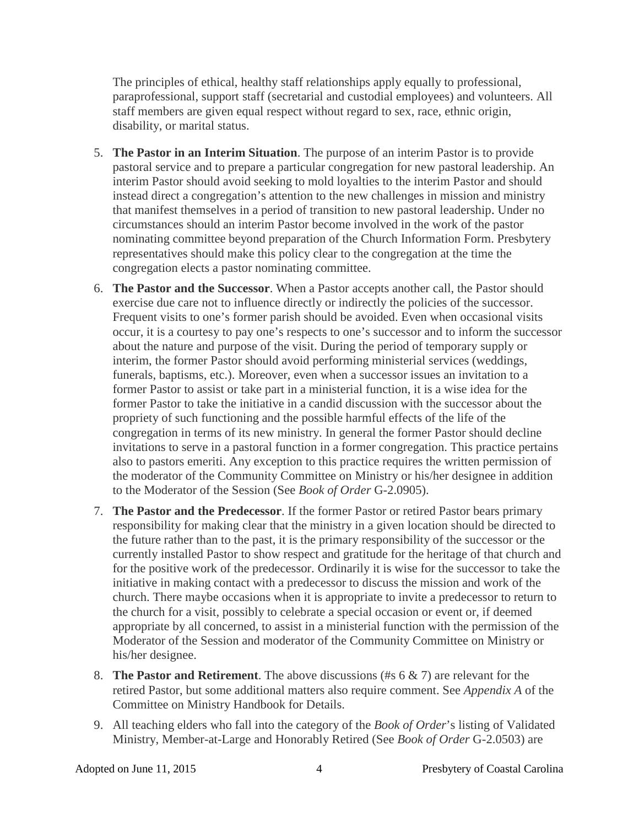The principles of ethical, healthy staff relationships apply equally to professional, paraprofessional, support staff (secretarial and custodial employees) and volunteers. All staff members are given equal respect without regard to sex, race, ethnic origin, disability, or marital status.

- 5. **The Pastor in an Interim Situation**. The purpose of an interim Pastor is to provide pastoral service and to prepare a particular congregation for new pastoral leadership. An interim Pastor should avoid seeking to mold loyalties to the interim Pastor and should instead direct a congregation's attention to the new challenges in mission and ministry that manifest themselves in a period of transition to new pastoral leadership. Under no circumstances should an interim Pastor become involved in the work of the pastor nominating committee beyond preparation of the Church Information Form. Presbytery representatives should make this policy clear to the congregation at the time the congregation elects a pastor nominating committee.
- 6. **The Pastor and the Successor**. When a Pastor accepts another call, the Pastor should exercise due care not to influence directly or indirectly the policies of the successor. Frequent visits to one's former parish should be avoided. Even when occasional visits occur, it is a courtesy to pay one's respects to one's successor and to inform the successor about the nature and purpose of the visit. During the period of temporary supply or interim, the former Pastor should avoid performing ministerial services (weddings, funerals, baptisms, etc.). Moreover, even when a successor issues an invitation to a former Pastor to assist or take part in a ministerial function, it is a wise idea for the former Pastor to take the initiative in a candid discussion with the successor about the propriety of such functioning and the possible harmful effects of the life of the congregation in terms of its new ministry. In general the former Pastor should decline invitations to serve in a pastoral function in a former congregation. This practice pertains also to pastors emeriti. Any exception to this practice requires the written permission of the moderator of the Community Committee on Ministry or his/her designee in addition to the Moderator of the Session (See *Book of Order* G-2.0905).
- 7. **The Pastor and the Predecessor**. If the former Pastor or retired Pastor bears primary responsibility for making clear that the ministry in a given location should be directed to the future rather than to the past, it is the primary responsibility of the successor or the currently installed Pastor to show respect and gratitude for the heritage of that church and for the positive work of the predecessor. Ordinarily it is wise for the successor to take the initiative in making contact with a predecessor to discuss the mission and work of the church. There maybe occasions when it is appropriate to invite a predecessor to return to the church for a visit, possibly to celebrate a special occasion or event or, if deemed appropriate by all concerned, to assist in a ministerial function with the permission of the Moderator of the Session and moderator of the Community Committee on Ministry or his/her designee.
- 8. **The Pastor and Retirement**. The above discussions (#s 6 & 7) are relevant for the retired Pastor, but some additional matters also require comment. See *Appendix A* of the Committee on Ministry Handbook for Details.
- 9. All teaching elders who fall into the category of the *Book of Order*'s listing of Validated Ministry, Member-at-Large and Honorably Retired (See *Book of Order* G-2.0503) are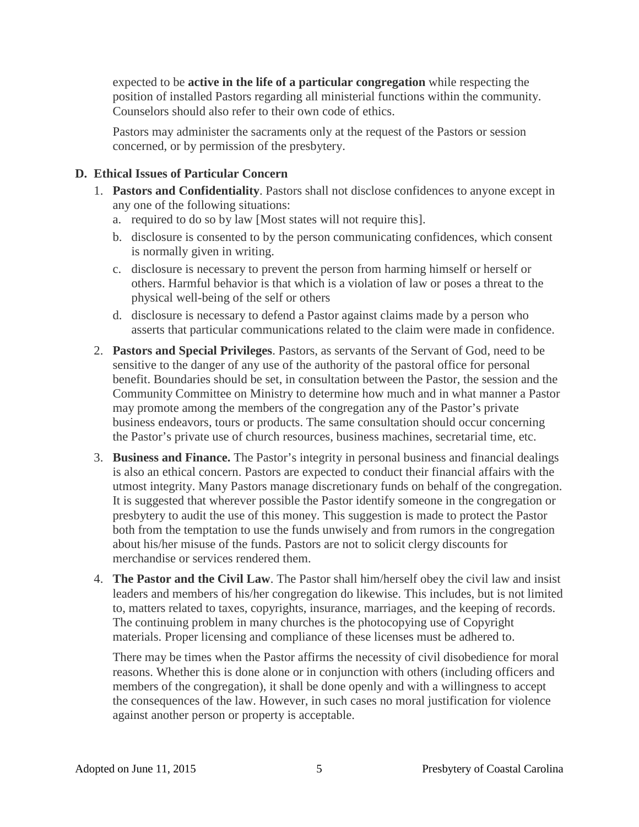expected to be **active in the life of a particular congregation** while respecting the position of installed Pastors regarding all ministerial functions within the community. Counselors should also refer to their own code of ethics.

Pastors may administer the sacraments only at the request of the Pastors or session concerned, or by permission of the presbytery.

## **D. Ethical Issues of Particular Concern**

- 1. **Pastors and Confidentiality**. Pastors shall not disclose confidences to anyone except in any one of the following situations:
	- a. required to do so by law [Most states will not require this].
	- b. disclosure is consented to by the person communicating confidences, which consent is normally given in writing.
	- c. disclosure is necessary to prevent the person from harming himself or herself or others. Harmful behavior is that which is a violation of law or poses a threat to the physical well-being of the self or others
	- d. disclosure is necessary to defend a Pastor against claims made by a person who asserts that particular communications related to the claim were made in confidence.
- 2. **Pastors and Special Privileges**. Pastors, as servants of the Servant of God, need to be sensitive to the danger of any use of the authority of the pastoral office for personal benefit. Boundaries should be set, in consultation between the Pastor, the session and the Community Committee on Ministry to determine how much and in what manner a Pastor may promote among the members of the congregation any of the Pastor's private business endeavors, tours or products. The same consultation should occur concerning the Pastor's private use of church resources, business machines, secretarial time, etc.
- 3. **Business and Finance.** The Pastor's integrity in personal business and financial dealings is also an ethical concern. Pastors are expected to conduct their financial affairs with the utmost integrity. Many Pastors manage discretionary funds on behalf of the congregation. It is suggested that wherever possible the Pastor identify someone in the congregation or presbytery to audit the use of this money. This suggestion is made to protect the Pastor both from the temptation to use the funds unwisely and from rumors in the congregation about his/her misuse of the funds. Pastors are not to solicit clergy discounts for merchandise or services rendered them.
- 4. **The Pastor and the Civil Law**. The Pastor shall him/herself obey the civil law and insist leaders and members of his/her congregation do likewise. This includes, but is not limited to, matters related to taxes, copyrights, insurance, marriages, and the keeping of records. The continuing problem in many churches is the photocopying use of Copyright materials. Proper licensing and compliance of these licenses must be adhered to.

There may be times when the Pastor affirms the necessity of civil disobedience for moral reasons. Whether this is done alone or in conjunction with others (including officers and members of the congregation), it shall be done openly and with a willingness to accept the consequences of the law. However, in such cases no moral justification for violence against another person or property is acceptable.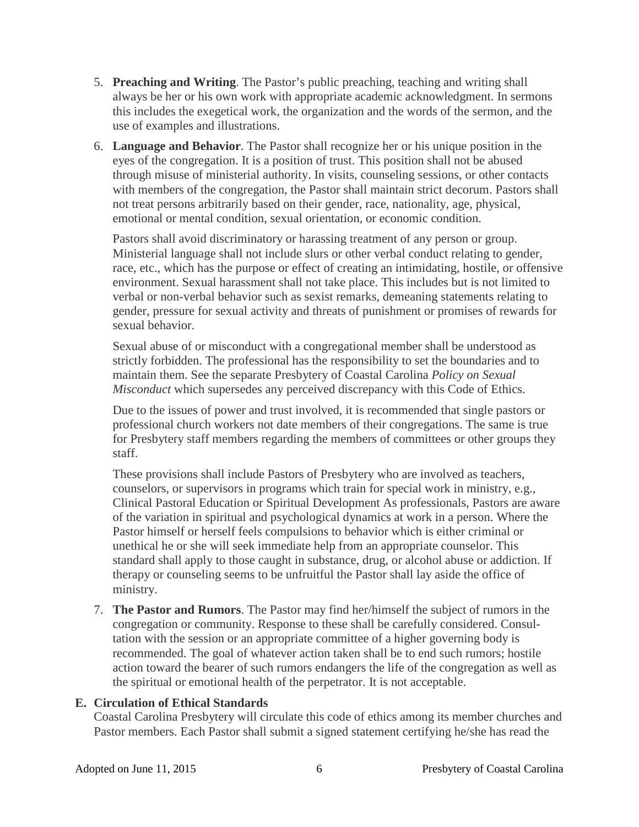- 5. **Preaching and Writing**. The Pastor's public preaching, teaching and writing shall always be her or his own work with appropriate academic acknowledgment. In sermons this includes the exegetical work, the organization and the words of the sermon, and the use of examples and illustrations.
- 6. **Language and Behavior**. The Pastor shall recognize her or his unique position in the eyes of the congregation. It is a position of trust. This position shall not be abused through misuse of ministerial authority. In visits, counseling sessions, or other contacts with members of the congregation, the Pastor shall maintain strict decorum. Pastors shall not treat persons arbitrarily based on their gender, race, nationality, age, physical, emotional or mental condition, sexual orientation, or economic condition.

Pastors shall avoid discriminatory or harassing treatment of any person or group. Ministerial language shall not include slurs or other verbal conduct relating to gender, race, etc., which has the purpose or effect of creating an intimidating, hostile, or offensive environment. Sexual harassment shall not take place. This includes but is not limited to verbal or non-verbal behavior such as sexist remarks, demeaning statements relating to gender, pressure for sexual activity and threats of punishment or promises of rewards for sexual behavior.

Sexual abuse of or misconduct with a congregational member shall be understood as strictly forbidden. The professional has the responsibility to set the boundaries and to maintain them. See the separate Presbytery of Coastal Carolina *Policy on Sexual Misconduct* which supersedes any perceived discrepancy with this Code of Ethics.

Due to the issues of power and trust involved, it is recommended that single pastors or professional church workers not date members of their congregations. The same is true for Presbytery staff members regarding the members of committees or other groups they staff.

These provisions shall include Pastors of Presbytery who are involved as teachers, counselors, or supervisors in programs which train for special work in ministry, e.g., Clinical Pastoral Education or Spiritual Development As professionals, Pastors are aware of the variation in spiritual and psychological dynamics at work in a person. Where the Pastor himself or herself feels compulsions to behavior which is either criminal or unethical he or she will seek immediate help from an appropriate counselor. This standard shall apply to those caught in substance, drug, or alcohol abuse or addiction. If therapy or counseling seems to be unfruitful the Pastor shall lay aside the office of ministry.

7. **The Pastor and Rumors**. The Pastor may find her/himself the subject of rumors in the congregation or community. Response to these shall be carefully considered. Consultation with the session or an appropriate committee of a higher governing body is recommended. The goal of whatever action taken shall be to end such rumors; hostile action toward the bearer of such rumors endangers the life of the congregation as well as the spiritual or emotional health of the perpetrator. It is not acceptable.

### **E. Circulation of Ethical Standards**

Coastal Carolina Presbytery will circulate this code of ethics among its member churches and Pastor members. Each Pastor shall submit a signed statement certifying he/she has read the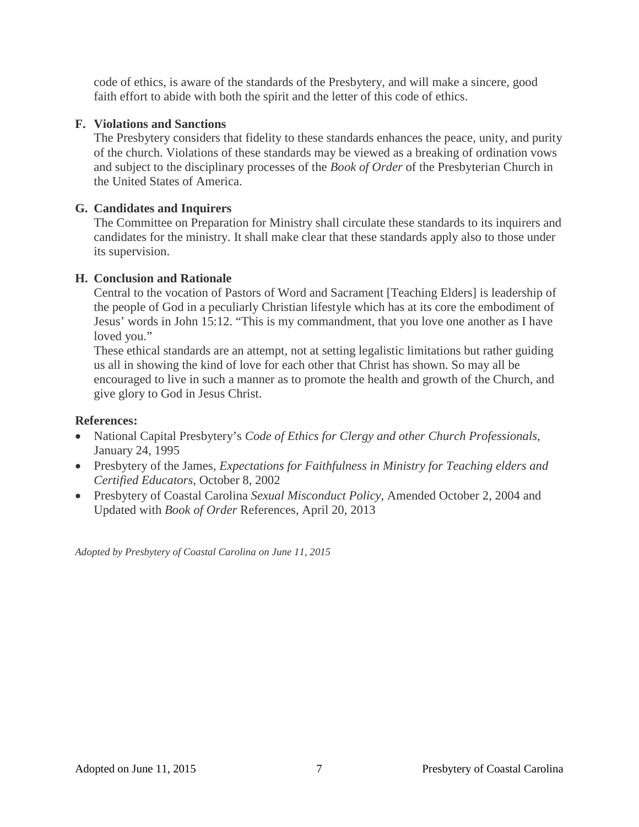code of ethics, is aware of the standards of the Presbytery, and will make a sincere, good faith effort to abide with both the spirit and the letter of this code of ethics.

#### **F. Violations and Sanctions**

The Presbytery considers that fidelity to these standards enhances the peace, unity, and purity of the church. Violations of these standards may be viewed as a breaking of ordination vows and subject to the disciplinary processes of the *Book of Order* of the Presbyterian Church in the United States of America.

#### **G. Candidates and Inquirers**

The Committee on Preparation for Ministry shall circulate these standards to its inquirers and candidates for the ministry. It shall make clear that these standards apply also to those under its supervision.

#### **H. Conclusion and Rationale**

Central to the vocation of Pastors of Word and Sacrament [Teaching Elders] is leadership of the people of God in a peculiarly Christian lifestyle which has at its core the embodiment of Jesus' words in John 15:12. "This is my commandment, that you love one another as I have loved you."

These ethical standards are an attempt, not at setting legalistic limitations but rather guiding us all in showing the kind of love for each other that Christ has shown. So may all be encouraged to live in such a manner as to promote the health and growth of the Church, and give glory to God in Jesus Christ.

### **References:**

- National Capital Presbytery's *Code of Ethics for Clergy and other Church Professionals*, January 24, 1995
- Presbytery of the James, *Expectations for Faithfulness in Ministry for Teaching elders and Certified Educators,* October 8, 2002
- Presbytery of Coastal Carolina *Sexual Misconduct Policy*, Amended October 2, 2004 and Updated with *Book of Order* References, April 20, 2013

*Adopted by Presbytery of Coastal Carolina on June 11, 2015*